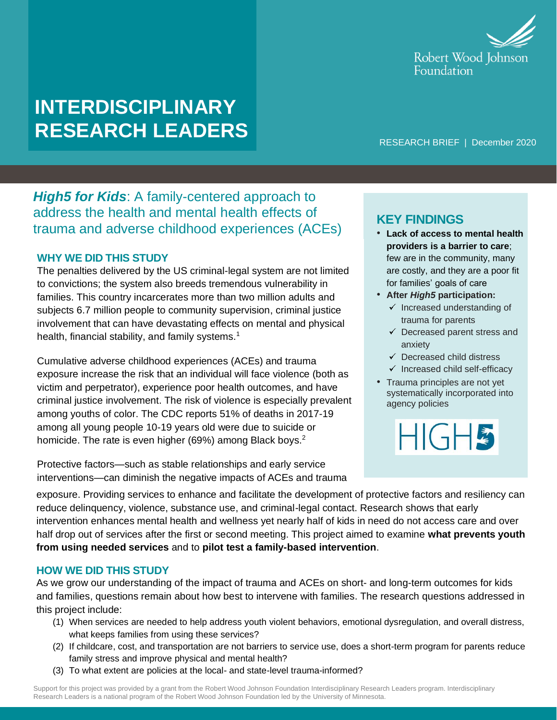

# **INTERDISCIPLINARY RESEARCH LEADERS**

RESEARCH BRIEF | December 2020

*High5 for Kids*: A family-centered approach to address the health and mental health effects of trauma and adverse childhood experiences (ACEs) **KEY FINDINGS**

#### **WHY WE DID THIS STUDY**

The penalties delivered by the US criminal-legal system are not limited to convictions; the system also breeds tremendous vulnerability in families. This country incarcerates more than two million adults and subjects 6.7 million people to community supervision, criminal justice involvement that can have devastating effects on mental and physical health, financial stability, and family systems.<sup>1</sup>

Cumulative adverse childhood experiences (ACEs) and trauma exposure increase the risk that an individual will face violence (both as victim and perpetrator), experience poor health outcomes, and have criminal justice involvement. The risk of violence is especially prevalent among youths of color. The CDC reports 51% of deaths in 2017-19 among all young people 10-19 years old were due to suicide or homicide. The rate is even higher (69%) among Black boys.<sup>2</sup>

Protective factors—such as stable relationships and early service interventions—can diminish the negative impacts of ACEs and trauma

- **Lack of access to mental health providers is a barrier to care**; few are in the community, many are costly, and they are a poor fit for families' goals of care
- **After** *High5* **participation:**
	- $\checkmark$  Increased understanding of trauma for parents
	- $\checkmark$  Decreased parent stress and anxiety
	- $\checkmark$  Decreased child distress
	- $\checkmark$  Increased child self-efficacy
- Trauma principles are not yet systematically incorporated into agency policies

HIGH<sup>5</sup>

exposure. Providing services to enhance and facilitate the development of protective factors and resiliency can reduce delinquency, violence, substance use, and criminal-legal contact. Research shows that early intervention enhances mental health and wellness yet nearly half of kids in need do not access care and over half drop out of services after the first or second meeting. This project aimed to examine **what prevents youth from using needed services** and to **pilot test a family-based intervention**.

### **HOW WE DID THIS STUDY**

As we grow our understanding of the impact of trauma and ACEs on short- and long-term outcomes for kids and families, questions remain about how best to intervene with families. The research questions addressed in this project include:

- (1) When services are needed to help address youth violent behaviors, emotional dysregulation, and overall distress, what keeps families from using these services?
- (2) If childcare, cost, and transportation are not barriers to service use, does a short-term program for parents reduce family stress and improve physical and mental health?
- (3) To what extent are policies at the local- and state-level trauma-informed?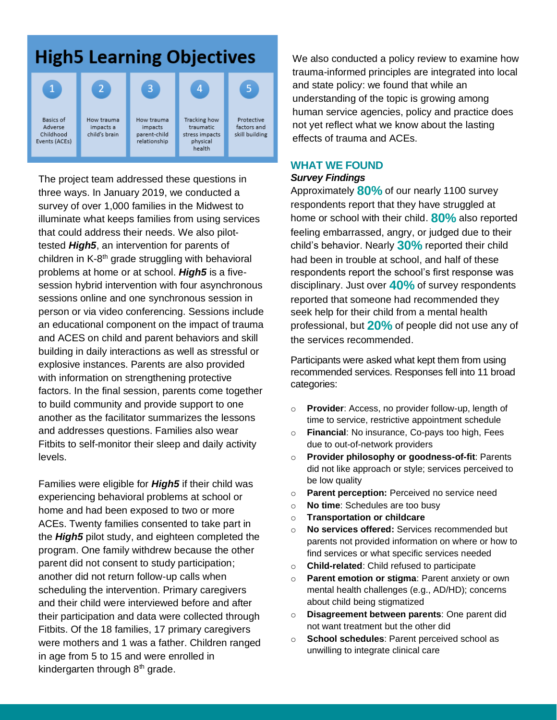## **High5 Learning Objectives**



The project team addressed these questions in three ways. In January 2019, we conducted a survey of over 1,000 families in the Midwest to illuminate what keeps families from using services that could address their needs. We also pilottested *High5*, an intervention for parents of children in K-8<sup>th</sup> grade struggling with behavioral problems at home or at school. *High5* is a fivesession hybrid intervention with four asynchronous sessions online and one synchronous session in person or via video conferencing. Sessions include an educational component on the impact of trauma and ACES on child and parent behaviors and skill building in daily interactions as well as stressful or explosive instances. Parents are also provided with information on strengthening protective factors. In the final session, parents come together to build community and provide support to one another as the facilitator summarizes the lessons and addresses questions. Families also wear Fitbits to self-monitor their sleep and daily activity levels.

Families were eligible for *High5* if their child was experiencing behavioral problems at school or home and had been exposed to two or more ACEs. Twenty families consented to take part in the *High5* pilot study, and eighteen completed the program. One family withdrew because the other parent did not consent to study participation; another did not return follow-up calls when scheduling the intervention. Primary caregivers and their child were interviewed before and after their participation and data were collected through Fitbits. Of the 18 families, 17 primary caregivers were mothers and 1 was a father. Children ranged in age from 5 to 15 and were enrolled in kindergarten through 8<sup>th</sup> grade.

We also conducted a policy review to examine how trauma-informed principles are integrated into local and state policy: we found that while an understanding of the topic is growing among human service agencies, policy and practice does not yet reflect what we know about the lasting effects of trauma and ACEs.

## **WHAT WE FOUND**

#### *Survey Findings*

Approximately **80%** of our nearly 1100 survey respondents report that they have struggled at home or school with their child. **80%** also reported feeling embarrassed, angry, or judged due to their child's behavior. Nearly **30%** reported their child had been in trouble at school, and half of these respondents report the school's first response was disciplinary. Just over **40%** of survey respondents reported that someone had recommended they seek help for their child from a mental health professional, but **20%** of people did not use any of the services recommended.

Participants were asked what kept them from using recommended services. Responses fell into 11 broad categories:

- o **Provider**: Access, no provider follow-up, length of time to service, restrictive appointment schedule
- o **Financial**: No insurance, Co-pays too high, Fees due to out-of-network providers
- o **Provider philosophy or goodness-of-fit**: Parents did not like approach or style; services perceived to be low quality
- o **Parent perception:** Perceived no service need
- o **No time**: Schedules are too busy
- o **Transportation or childcare**
- o **No services offered:** Services recommended but parents not provided information on where or how to find services or what specific services needed
- o **Child-related**: Child refused to participate
- o **Parent emotion or stigma**: Parent anxiety or own mental health challenges (e.g., AD/HD); concerns about child being stigmatized
- o **Disagreement between parents**: One parent did not want treatment but the other did
- o **School schedules**: Parent perceived school as unwilling to integrate clinical care